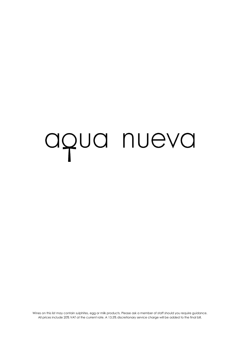# aqua nueva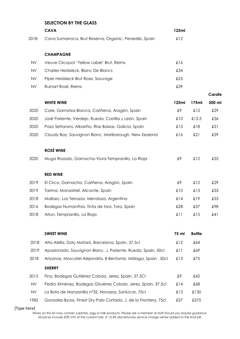|           | <b>SELECTION BY THE GLASS</b>                                    |       |               |        |
|-----------|------------------------------------------------------------------|-------|---------------|--------|
|           | <b>CAVA</b>                                                      | 125ml |               |        |
| 2018      | Cava Sumarroca, Brut Reserva, Organic, Penedés, Spain            | £12   |               |        |
|           | <b>CHAMPAGNE</b>                                                 |       |               |        |
| <b>NV</b> | Veuve Clicquot 'Yellow Label' Brut, Reims                        | £16   |               |        |
| <b>NV</b> | Charles Heidsieck, Blanc De Blancs                               | £34   |               |        |
| NV        | Piper Heidsieck Brut Rose, Sauvage                               | £25   |               |        |
| <b>NV</b> | Ruinart Rosé, Reims                                              | £39   |               |        |
|           |                                                                  |       |               | Carafe |
|           | <b>WHITE WINE</b>                                                | 125ml | 175ml         | 500 ml |
| 2020      | Care, Garnatxa Blanca, Cariñena, Aragón, Spain                   | £9    | £12           | £29    |
| 2020      | José Pariente, Verdejo, Rueda, Castilla y León, Spain            | £10   | £13.5         | £36    |
| 2020      | Pazo Señorans, Albariño, Rias Baixas, Galicia, Spain             | £13   | £18           | £51    |
| 2020      | Cloudy Bay, Sauvignon Blanc, Marlborough, New Zealand            | £16   | £21           | £59    |
|           | <b>ROSÉ WINE</b>                                                 |       |               |        |
| 2020      | Muga Rosado, Garnacha-Viura-Tempranillo, La Rioja                | £9    | £12           | £35    |
|           | <b>RED WINE</b>                                                  |       |               |        |
| 2019      | El Circo, Garnacha, Cariñena, Aragón, Spain                      | £9    | £12           | £29    |
| 2019      | Tarima, Monastrell, Alicante, Spain                              | £10   | £13           | £33    |
| 2018      | Malbec, Las Terrazas, Mendoza, Argentina                         | £14   | £19           | £53    |
| 2016      | Bodegas Numanthia, Tinta de toro, Toro, Spain                    | £28   | £37           | £98    |
| 2018      | Altun, Tempranillo, La Rioja                                     | £11   | £15           | £41    |
|           |                                                                  |       |               |        |
|           | <b>SWEET WINE</b>                                                | 75 ml | <b>Bottle</b> |        |
| 2018      | Alta Alella, Dolç Mataró, Barcelona, Spain, 37.5cl               | £12   | £64           |        |
| 2019      | Apasionado, Sauvignon Blanc, J. Pariente, Rueda, Spain, 50cl     | £11   | £69           |        |
| 2018      | Ariyanas, Moscatel Alejandría, B Bentomiz, Málaga, Spain, 50cl   | £13   | £75           |        |
|           | <b>SHERRY</b>                                                    |       |               |        |
| 2015      | Fino, Bodegas Gutiérrez Colosia, Jerez, Spain, 37.5Cl            | £9    | £42           |        |
| <b>NV</b> | Pedro Ximénez, Bodegas Gituérrez Colosía, Jerez, Spain, 37.5cl   | £14   | £68           |        |
| <b>NV</b> | La Bota de Manzanilla nº32, Navazos, Sanlúcar, 75cl              | £13   | £130          |        |
| 1982      | Gonzalez-Byass, Finest Dry Palo Cortado, J. de la Frontera, 75cl | £37   | £375          |        |

[Type here]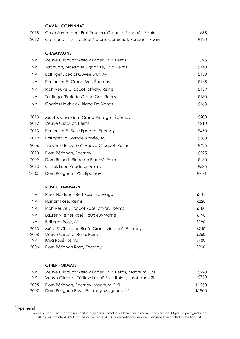# **CAVA - CORPINNAT**

| 2018 | Cava Sumarroca, Brut Reserva, Organic, Penedés, Spain       | £55  |
|------|-------------------------------------------------------------|------|
| 2012 | Gramona, III Lustros Brut Nature, Corpinnat, Penedés, Spain | £120 |

#### **CHAMPAGNE**

| <b>NV</b> | Veuve Clicquot 'Yellow Label' Brut, Reims | £95  |
|-----------|-------------------------------------------|------|
| NV        | Jacquart, Mosaïque Signature, Brut, Reims | £140 |
| <b>NV</b> | Bollinger Special Cuvee Brut, Ay          | £150 |
| <b>NV</b> | Perrier-Jouët Grand Brut, Épernay         | £145 |
| NV.       | Rich Veuve Clicquot, off-dry, Reims       | £159 |
| <b>NV</b> | Taittinger 'Prelude Grand Cru', Reims     | £180 |
| NV        | Charles Heidsieck, Blanc De Blancs        | £168 |
|           |                                           |      |
| 2013      | Moët & Chandon 'Grand Vintage', Épernay   | £200 |
| 2012      | Veuve Clicquot, Reims                     | £210 |
| 2013      | Perrier-Jouët Belle Epoque, Épernay       | £450 |
| 2012      | Bollinger La Grande Année, Aÿ             | £380 |
| 2006      | 'La Grande Dame', Veuve Clicquot, Reims   | £425 |
| 2010      | Dom Pérignon, Épernay                     | £525 |
| 2009      | Dom Ruinart 'Blanc de Blancs', Reims      | £460 |
| 2013      | Cristal, Louis Roederer, Reims            | £585 |
| 2000      | Dom Pérignon, 'P2', Épernay               | £900 |

#### **ROSÉ CHAMPAGNE**

| Piper Heidsieck Brut Rose, Sauvage           | £145 |
|----------------------------------------------|------|
| Ruinart Rosé, Reims                          | £220 |
| Rich Veuve Clicquot Rosé, off-dry, Reims     | £180 |
| Laurent-Perrier Rosé, Tours-sur-Marne        | £190 |
| Bollinger Rosé, AŸ                           | £190 |
| Möet & Chandon Rosé 'Grand Vintage', Épernay | £240 |
| Veuve Clicquot Rosé, Reims                   | £260 |
| Krug Rosé, Reims                             | £780 |
| Dom Pérignon Rosé, Epernay                   | £900 |
|                                              |      |

#### **OTHER FORMATS**

| <b>NV</b> | Veuve Clicquot 'Yellow Label' Brut, Reims, Magnum, 1.5L                                   | £220.          |
|-----------|-------------------------------------------------------------------------------------------|----------------|
| NV.       | Veuve Clicquot 'Yellow Label' Brut, Reims, Jeroboam, 3L                                   | £750           |
|           | 2005 Dom Pérignon, Épernay, Magnum, 1.5L<br>2002 Dom Pérignon Rosé, Epernay, Magnum, 1.5L | £1250<br>£1900 |

[Type here]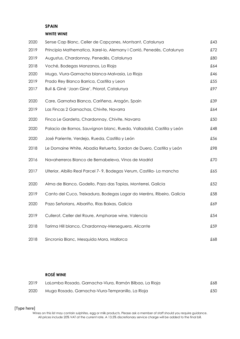# **SPAIN**

# **WHITE WINE**

| 2020 | Sense Cap Blanc, Celler de Capçanes, Montsant, Catalunya               | £43 |
|------|------------------------------------------------------------------------|-----|
| 2019 | Principia Mathematica, Xarel-lo, Alemany I Corrió, Penedès, Catalunya  | £72 |
| 2019 | Augustus, Chardonnay, Penedès, Catalunya                               | £80 |
| 2018 | Voché, Bodegas Manzanos, La Rioja                                      | £64 |
| 2020 | Muga, Viura-Garnacha blanca-Malvasia, La Rioja                         | £46 |
| 2019 | Prado Rey Blanco Barrica, Castilla y Leon                              | £55 |
| 2017 | Buil & Giné 'Joan Gine', Priorat, Catalunya                            | £97 |
| 2020 | Care, Garnatxa Blanca, Cariñena, Aragón, Spain                         | £39 |
| 2019 | Las Fincas 2 Garnachas, Chivite, Navarra                               | £64 |
| 2020 | Finca Le Gardeta, Chardonnay, Chivite, Navarra                         | £50 |
| 2020 | Palacio de Bornos, Sauvignon blanc, Rueda, Valladolid, Castilla y León | £48 |
| 2020 | José Pariente, Verdejo, Rueda, Castilla y León                         | £56 |
| 2018 | Le Domaine White, Abadia Retuerta, Sardon de Duero, Castilla y León    | £98 |
| 2016 | Navaherreros Blanco de Bernabeleva, Vinos de Madrid                    | £70 |
| 2017 | Ulterior, Albillo Real Parcel 7-9, Bodegas Verum, Castilla-La mancha   | £65 |
| 2020 | Alma de Blanco, Godello, Pazo das Tapias, Monterrei, Galicia           | £52 |
| 2019 | Canto del Cuco, Treixadura, Bodegas Lagar do Meréns, Ribeiro, Galicia  | £58 |
| 2020 | Pazo Señorians, Albariño, Rias Baixas, Galicia                         | £69 |
| 2019 | Cullerot, Celler del Roure, Amphorae wine, Valencia                    | £54 |
| 2018 | Tarima Hill blanco, Chardonnay-Merseguera, Alicante                    | £59 |
| 2018 | Sincronia Blanc, Mesquida Mora, Mallorca                               | £68 |

#### **ROSÉ WINE**

| 2019 | LaLomba Rosado, Garnacha-Viura, Ramón Bilbao, La Rioja | £68 |
|------|--------------------------------------------------------|-----|
| 2020 | Muga Rosado, Garnacha-Viura-Tempranillo, La Rioja      | £50 |

# [Type here]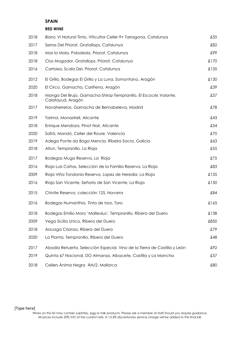#### **SPAIN**

#### **RED WINE**

| 2018 | Blanc Vi Natural Tinto, Viticultor Celler 9+ Tarragona, Catalunya                      | £55  |
|------|----------------------------------------------------------------------------------------|------|
| 2017 | Serras Del Priorat, Gratallops, Catalunya                                              | £82  |
| 2018 | Mas la Mola, Poboleda, Priorat, Catalunya                                              | £99  |
| 2018 | Clos Mogador, Gratallops, Priorat, Catalunya                                           | £170 |
| 2016 | Cartoixa, Scala Dei, Priorat, Catalunya                                                | £135 |
| 2012 | El Grillo, Bodegas El Grillo y La Luna, Somontano, Aragón                              | £130 |
| 2020 | El Circo, Garnacha, Cariñena, Aragón                                                   | £39  |
| 2018 | Manga Del Brujo, Garnacha-Shiraz-Tempranillo, El Escocés Volante,<br>Calatayud, Aragón | £57  |
| 2017 | Navaherreros, Garnacha de Bernabeleva, Madrid                                          | £78  |
| 2019 | Tarima, Monastrell, Alicante                                                           | £43  |
| 2018 | Enrique Mendoza, Pinot Noir, Alicante                                                  | £54  |
| 2020 | Safrà, Mandó, Celler del Roure, Valencia                                               | £70  |
| 2019 | Adega Ponte da Boga Mencia, Ribeira Sacra, Galicia                                     | £63  |
| 2018 | Altun, Tempranillo, La Rioja                                                           | £55  |
| 2017 | Bodegas Muga Reserva, La Rioja                                                         | £75  |
| 2016 | Rioja Luis Cañas, Selección de la Familia Reserva, La Rioja                            | £83  |
| 2009 | Rioja Viña Tondonia Reserva, Lopez de Heredia, La Rioja                                | £135 |
| 2016 | Rioja San Vicente, Señorío de San Vicente, La Rioja                                    | £150 |
| 2015 | Chivite Reserva, colección 125, Navarra                                                | £84  |
| 2016 | Bodegas Numanthia, Tinta de toro, Toro                                                 | £165 |
| 2018 | Bodegas Emilio Moro 'Malleolus', Tempranillo, Ribera del Duero                         | £138 |
| 2009 | Vega Sicilia Unico, Ribera del Duero                                                   | £850 |
| 2018 | Arzuaga Crianza, Ribera del Duero                                                      | £79  |
| 2020 | La Planta, Tempranillo, Ribera del Duero                                               | £48  |
| 2017 | Abadia Retuerta, Selección Especial, Vino de la Tierra de Castilla y León              | £92  |
| 2019 | Quinta 67 Nacional, DO Almansa, Albacete, Castilla y La Mancha                         | £57  |
| 2018 | Cellers Ànima Negra ÀN/2, Mallorca                                                     | £80  |

# [Type here]